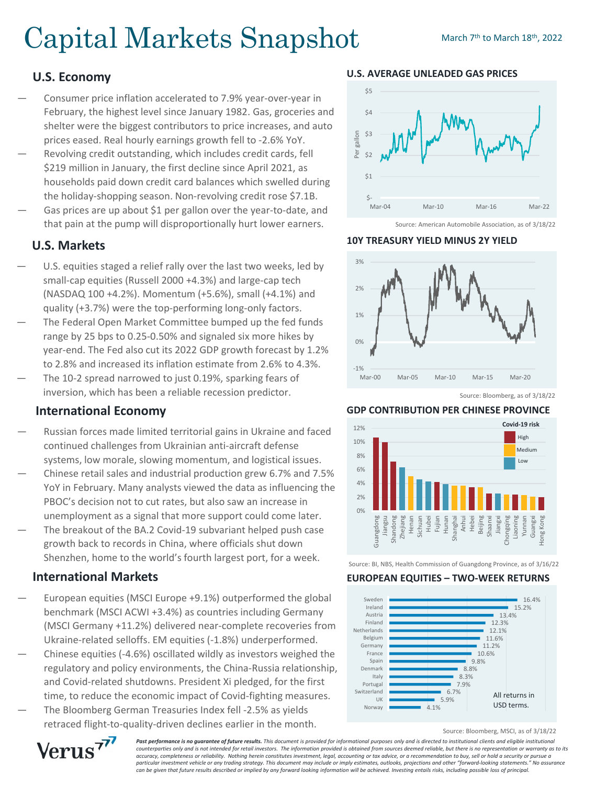# Capital Markets Snapshot March 7th to March 18th, 2022

# **U.S. Economy**

- Consumer price inflation accelerated to 7.9% year-over-year in February, the highest level since January 1982. Gas, groceries and shelter were the biggest contributors to price increases, and auto prices eased. Real hourly earnings growth fell to -2.6% YoY.
- Revolving credit outstanding, which includes credit cards, fell \$219 million in January, the first decline since April 2021, as households paid down credit card balances which swelled during the holiday-shopping season. Non-revolving credit rose \$7.1B.
- Gas prices are up about \$1 per gallon over the year-to-date, and that pain at the pump will disproportionally hurt lower earners.

# **U.S. Markets**

- U.S. equities staged a relief rally over the last two weeks, led by small-cap equities (Russell 2000 +4.3%) and large-cap tech (NASDAQ 100 +4.2%). Momentum (+5.6%), small (+4.1%) and quality (+3.7%) were the top-performing long-only factors.
- The Federal Open Market Committee bumped up the fed funds range by 25 bps to 0.25-0.50% and signaled six more hikes by year-end. The Fed also cut its 2022 GDP growth forecast by 1.2% to 2.8% and increased its inflation estimate from 2.6% to 4.3%.
- The 10-2 spread narrowed to just 0.19%, sparking fears of inversion, which has been a reliable recession predictor.

# **International Economy**

- Russian forces made limited territorial gains in Ukraine and faced continued challenges from Ukrainian anti-aircraft defense systems, low morale, slowing momentum, and logistical issues.
- Chinese retail sales and industrial production grew 6.7% and 7.5% YoY in February. Many analysts viewed the data as influencing the PBOC's decision not to cut rates, but also saw an increase in unemployment as a signal that more support could come later.
- The breakout of the BA.2 Covid-19 subvariant helped push case growth back to records in China, where officials shut down Shenzhen, home to the world's fourth largest port, for a week.

# **International Markets**

- European equities (MSCI Europe +9.1%) outperformed the global benchmark (MSCI ACWI +3.4%) as countries including Germany (MSCI Germany +11.2%) delivered near-complete recoveries from Ukraine-related selloffs. EM equities (-1.8%) underperformed.
- Chinese equities (-4.6%) oscillated wildly as investors weighed the regulatory and policy environments, the China-Russia relationship, and Covid-related shutdowns. President Xi pledged, for the first time, to reduce the economic impact of Covid-fighting measures.
- The Bloomberg German Treasuries Index fell -2.5% as yields retraced flight-to-quality-driven declines earlier in the month.

#### **U.S. AVERAGE UNLEADED GAS PRICES**



Source: American Automobile Association, as of 3/18/22

#### **10Y TREASURY YIELD MINUS 2Y YIELD**



## **GDP CONTRIBUTION PER CHINESE PROVINCE**



Source: BI, NBS, Health Commission of Guangdong Province, as of 3/16/22

#### **EUROPEAN EQUITIES – TWO-WEEK RETURNS**



Source: Bloomberg, MSCI, as of 3/18/22



**Past performance is no guarantee of future results.** This document is provided for informational purposes only and is directed to institutional clients and eligible institutional *counterparties only and is not intended for retail investors. The information provided is obtained from sources deemed reliable, but there is no representation or warranty as to its accuracy, completeness or reliability. Nothing herein constitutes investment, legal, accounting or tax advice, or a recommendation to buy, sell or hold a security or pursue a particular investment vehicle or any trading strategy. This document may include or imply estimates, outlooks, projections and other "forward-looking statements." No assurance can be given that future results described or implied by any forward looking information will be achieved. Investing entails risks, including possible loss of principal.*